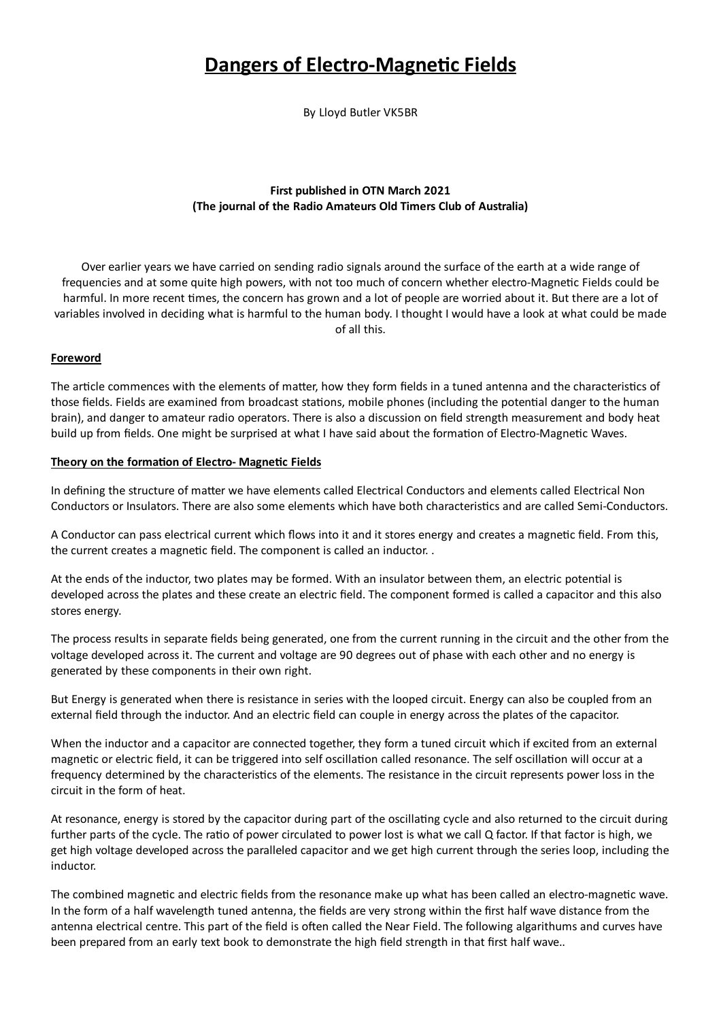# **Dangers of Electro-Magnetic Fields**

By Lloyd Butler VK5BR

## First published in OTN March 2021 (The journal of the Radio Amateurs Old Timers Club of Australia)

Over earlier years we have carried on sending radio signals around the surface of the earth at a wide range of frequencies and at some quite high powers, with not too much of concern whether electro-Magnetic Fields could be harmful. In more recent times, the concern has grown and a lot of people are worried about it. But there are a lot of variables involved in deciding what is harmful to the human body. I thought I would have a look at what could be made of all this.

## Foreword

The article commences with the elements of matter, how they form fields in a tuned antenna and the characteristics of those fields. Fields are examined from broadcast stations, mobile phones (including the potential danger to the human brain), and danger to amateur radio operators. There is also a discussion on field strength measurement and body heat build up from fields. One might be surprised at what I have said about the formation of Electro-Magnetic Waves.

## Theory on the formation of Electro- Magnetic Fields

In defining the structure of matter we have elements called Electrical Conductors and elements called Electrical Non Conductors or Insulators. There are also some elements which have both characteristics and are called Semi-Conductors.

A Conductor can pass electrical current which flows into it and it stores energy and creates a magnetic field. From this, the current creates a magnetic field. The component is called an inductor..

At the ends of the inductor, two plates may be formed. With an insulator between them, an electric potential is developed across the plates and these create an electric field. The component formed is called a capacitor and this also stores energy.

The process results in separate fields being generated, one from the current running in the circuit and the other from the voltage developed across it. The current and voltage are 90 degrees out of phase with each other and no energy is generated by these components in their own right.

But Energy is generated when there is resistance in series with the looped circuit. Energy can also be coupled from an external field through the inductor. And an electric field can couple in energy across the plates of the capacitor.

When the inductor and a capacitor are connected together, they form a tuned circuit which if excited from an external magnetic or electric field, it can be triggered into self oscillation called resonance. The self oscillation will occur at a frequency determined by the characteristics of the elements. The resistance in the circuit represents power loss in the circuit in the form of heat.

At resonance, energy is stored by the capacitor during part of the oscillating cycle and also returned to the circuit during further parts of the cycle. The ratio of power circulated to power lost is what we call Q factor. If that factor is high, we get high voltage developed across the paralleled capacitor and we get high current through the series loop, including the inductor.

The combined magnetic and electric fields from the resonance make up what has been called an electro-magnetic wave. In the form of a half wavelength tuned antenna, the fields are very strong within the first half wave distance from the antenna electrical centre. This part of the field is often called the Near Field. The following algarithums and curves have been prepared from an early text book to demonstrate the high field strength in that first half wave..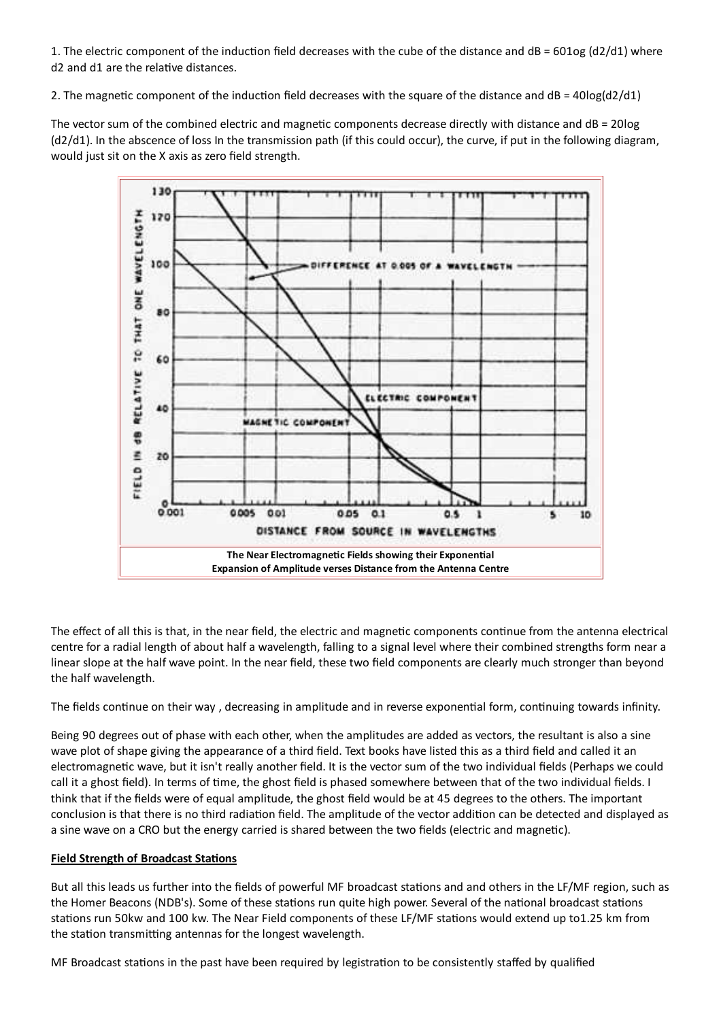1. The electric component of the induction field decreases with the cube of the distance and dB = 601og (d2/d1) where d2 and d1 are the relative distances.

2. The magnetic component of the induction field decreases with the square of the distance and  $dB = 40log(d2/d1)$ 

The vector sum of the combined electric and magnetic components decrease directly with distance and  $dB = 20log$ (d2/d1). In the abscence of loss In the transmission path (if this could occur), the curve, if put in the following diagram, would just sit on the X axis as zero field strength.



The effect of all this is that, in the near field, the electric and magnetic components continue from the antenna electrical centre for a radial length of about half a wavelength, falling to a signal level where their combined strengths form near a linear slope at the half wave point. In the near field, these two field components are clearly much stronger than beyond the half wavelength.

The fields continue on their way, decreasing in amplitude and in reverse exponential form, continuing towards infinity.

Being 90 degrees out of phase with each other, when the amplitudes are added as vectors, the resultant is also a sine wave plot of shape giving the appearance of a third field. Text books have listed this as a third field and called it an electromagnetic wave, but it isn't really another field. It is the vector sum of the two individual fields (Perhaps we could call it a ghost field). In terms of time, the ghost field is phased somewhere between that of the two individual fields. I think that if the fields were of equal amplitude, the ghost field would be at 45 degrees to the others. The important conclusion is that there is no third radiation field. The amplitude of the vector addition can be detected and displayed as a sine wave on a CRO but the energy carried is shared between the two fields (electric and magnetic).

## **Field Strength of Broadcast Stations**

But all this leads us further into the fields of powerful MF broadcast stations and and others in the LF/MF region, such as the Homer Beacons (NDB's). Some of these stations run quite high power. Several of the national broadcast stations stations run 50kw and 100 kw. The Near Field components of these LF/MF stations would extend up to1.25 km from the station transmitting antennas for the longest wavelength.

MF Broadcast stations in the past have been required by legistration to be consistently staffed by qualified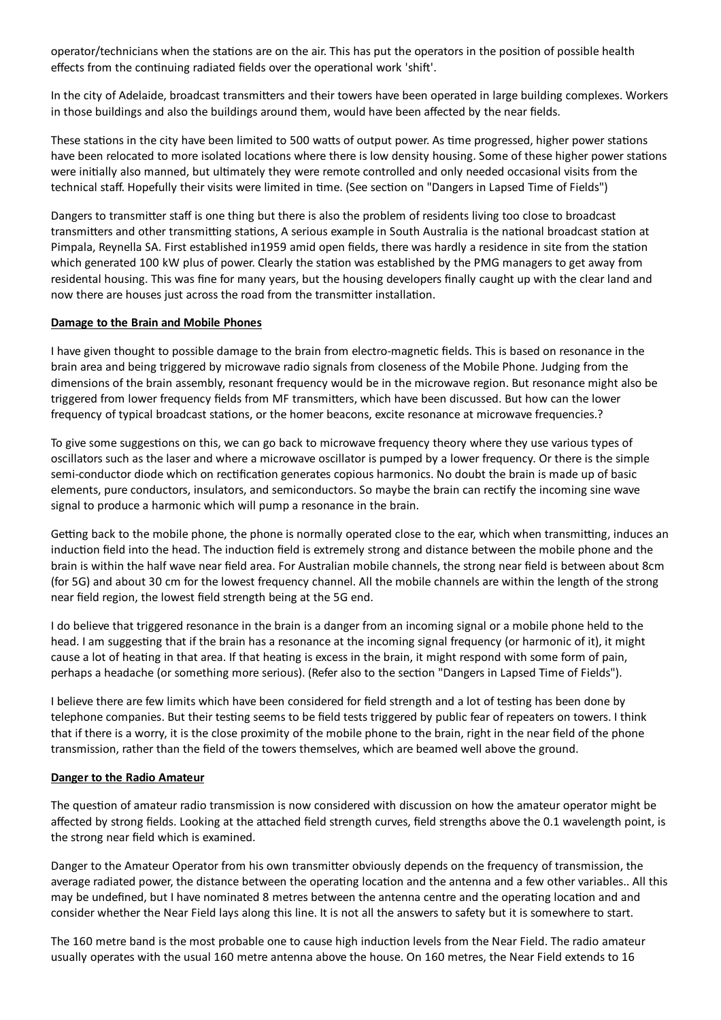operator/technicians when the stations are on the air. This has put the operators in the position of possible health effects from the continuing radiated fields over the operational work 'shift'.

In the city of Adelaide, broadcast transmitters and their towers have been operated in large building complexes. Workers in those buildings and also the buildings around them, would have been affected by the near fields.

These stations in the city have been limited to 500 watts of output power. As time progressed, higher power stations have been relocated to more isolated locations where there is low density housing. Some of these higher power stations were initially also manned, but ultimately they were remote controlled and only needed occasional visits from the technical staff. Hopefully their visits were limited in time. (See section on "Dangers in Lapsed Time of Fields")

Dangers to transmitter staff is one thing but there is also the problem of residents living too close to broadcast transmitters and other transmitting stations, A serious example in South Australia is the national broadcast station at Pimpala, Reynella SA. First established in 1959 amid open fields, there was hardly a residence in site from the station which generated 100 kW plus of power. Clearly the station was established by the PMG managers to get away from residental housing. This was fine for many years, but the housing developers finally caught up with the clear land and now there are houses just across the road from the transmitter installation.

### Damage to the Brain and Mobile Phones

I have given thought to possible damage to the brain from electro-magnetic fields. This is based on resonance in the brain area and being triggered by microwave radio signals from closeness of the Mobile Phone. Judging from the dimensions of the brain assembly, resonant frequency would be in the microwave region. But resonance might also be triggered from lower frequency fields from MF transmitters, which have been discussed. But how can the lower frequency of typical broadcast stations, or the homer beacons, excite resonance at microwave frequencies.?

To give some suggestions on this, we can go back to microwave frequency theory where they use various types of oscillators such as the laser and where a microwave oscillator is pumped by a lower frequency. Or there is the simple semi-conductor diode which on rectification generates copious harmonics. No doubt the brain is made up of basic elements, pure conductors, insulators, and semiconductors. So maybe the brain can rectify the incoming sine wave signal to produce a harmonic which will pump a resonance in the brain.

Getting back to the mobile phone, the phone is normally operated close to the ear, which when transmitting, induces an induction field into the head. The induction field is extremely strong and distance between the mobile phone and the brain is within the half wave near field area. For Australian mobile channels, the strong near field is between about 8cm (for 5G) and about 30 cm for the lowest frequency channel. All the mobile channels are within the length of the strong near field region, the lowest field strength being at the 5G end.

I do believe that triggered resonance in the brain is a danger from an incoming signal or a mobile phone held to the head. I am suggesting that if the brain has a resonance at the incoming signal frequency (or harmonic of it), it might cause a lot of heating in that area. If that heating is excess in the brain, it might respond with some form of pain, perhaps a headache (or something more serious). (Refer also to the section "Dangers in Lapsed Time of Fields").

I believe there are few limits which have been considered for field strength and a lot of testing has been done by telephone companies. But their testing seems to be field tests triggered by public fear of repeaters on towers. I think that if there is a worry, it is the close proximity of the mobile phone to the brain, right in the near field of the phone transmission, rather than the field of the towers themselves, which are beamed well above the ground.

#### Danger to the Radio Amateur

The question of amateur radio transmission is now considered with discussion on how the amateur operator might be affected by strong fields. Looking at the attached field strength curves, field strengths above the 0.1 wavelength point, is the strong near field which is examined.

Danger to the Amateur Operator from his own transmitter obviously depends on the frequency of transmission, the average radiated power, the distance between the operating location and the antenna and a few other variables.. All this may be undefined, but I have nominated 8 metres between the antenna centre and the operating location and and consider whether the Near Field lays along this line. It is not all the answers to safety but it is somewhere to start.

The 160 metre band is the most probable one to cause high induction levels from the Near Field. The radio amateur usually operates with the usual 160 metre antenna above the house. On 160 metres, the Near Field extends to 16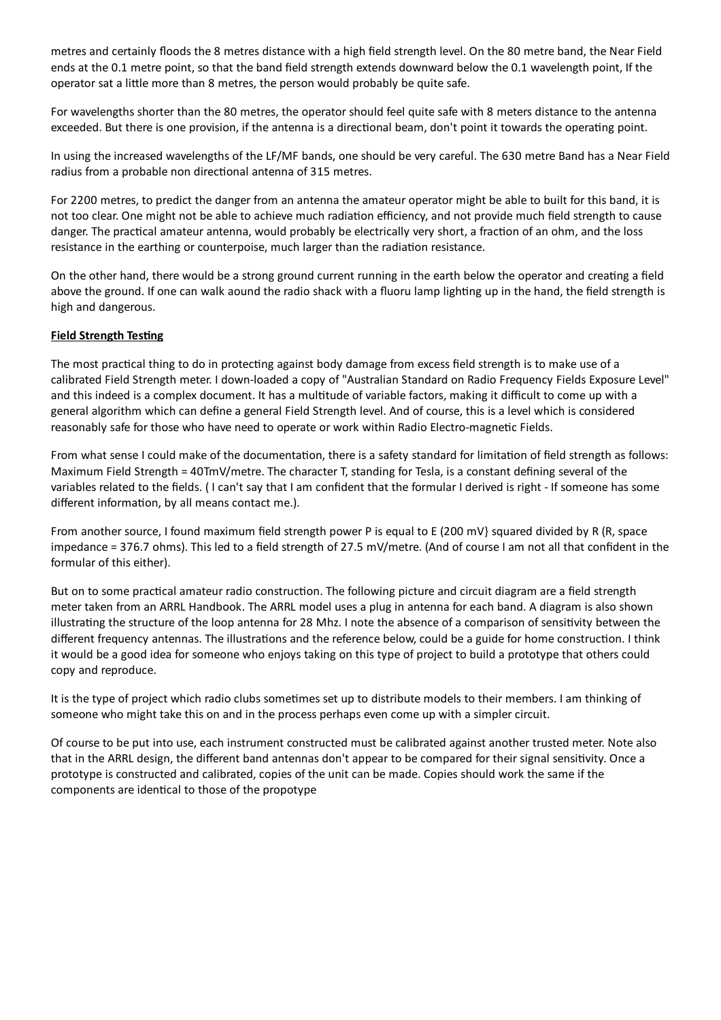metres and certainly floods the 8 metres distance with a high field strength level. On the 80 metre band, the Near Field ends at the 0.1 metre point, so that the band field strength extends downward below the 0.1 wavelength point, If the operator sat a little more than 8 metres, the person would probably be quite safe.

For wavelengths shorter than the 80 metres, the operator should feel quite safe with 8 meters distance to the antenna exceeded. But there is one provision, if the antenna is a directional beam, don't point it towards the operating point.

In using the increased wavelengths of the LF/MF bands, one should be very careful. The 630 metre Band has a Near Field radius from a probable non directional antenna of 315 metres.

For 2200 metres, to predict the danger from an antenna the amateur operator might be able to built for this band, it is not too clear. One might not be able to achieve much radiation efficiency, and not provide much field strength to cause danger. The practical amateur antenna, would probably be electrically very short, a fraction of an ohm, and the loss resistance in the earthing or counterpoise, much larger than the radiation resistance.

On the other hand, there would be a strong ground current running in the earth below the operator and creating a field above the ground. If one can walk aound the radio shack with a fluoru lamp lighting up in the hand, the field strength is high and dangerous.

## **Field Strength Testing**

The most practical thing to do in protecting against body damage from excess field strength is to make use of a calibrated Field Strength meter. I down-loaded a copy of "Australian Standard on Radio Frequency Fields Exposure Level" and this indeed is a complex document. It has a multitude of variable factors, making it difficult to come up with a general algorithm which can define a general Field Strength level. And of course, this is a level which is considered reasonably safe for those who have need to operate or work within Radio Electro-magnetic Fields.

From what sense I could make of the documentation, there is a safety standard for limitation of field strength as follows: Maximum Field Strength = 40TmV/metre. The character T, standing for Tesla, is a constant defining several of the variables related to the fields. (I can't say that I am confident that the formular I derived is right - If someone has some different information, by all means contact me.).

From another source, I found maximum field strength power P is equal to E (200 mV) squared divided by R (R, space impedance = 376.7 ohms). This led to a field strength of 27.5 mV/metre. (And of course I am not all that confident in the formular of this either).

But on to some practical amateur radio construction. The following picture and circuit diagram are a field strength meter taken from an ARRL Handbook. The ARRL model uses a plug in antenna for each band. A diagram is also shown illustrating the structure of the loop antenna for 28 Mhz. I note the absence of a comparison of sensitivity between the different frequency antennas. The illustrations and the reference below, could be a guide for home construction. I think it would be a good idea for someone who enjoys taking on this type of project to build a prototype that others could copy and reproduce.

It is the type of project which radio clubs sometimes set up to distribute models to their members. I am thinking of someone who might take this on and in the process perhaps even come up with a simpler circuit.

Of course to be put into use, each instrument constructed must be calibrated against another trusted meter. Note also that in the ARRL design, the different band antennas don't appear to be compared for their signal sensitivity. Once a prototype is constructed and calibrated, copies of the unit can be made. Copies should work the same if the components are identical to those of the propotype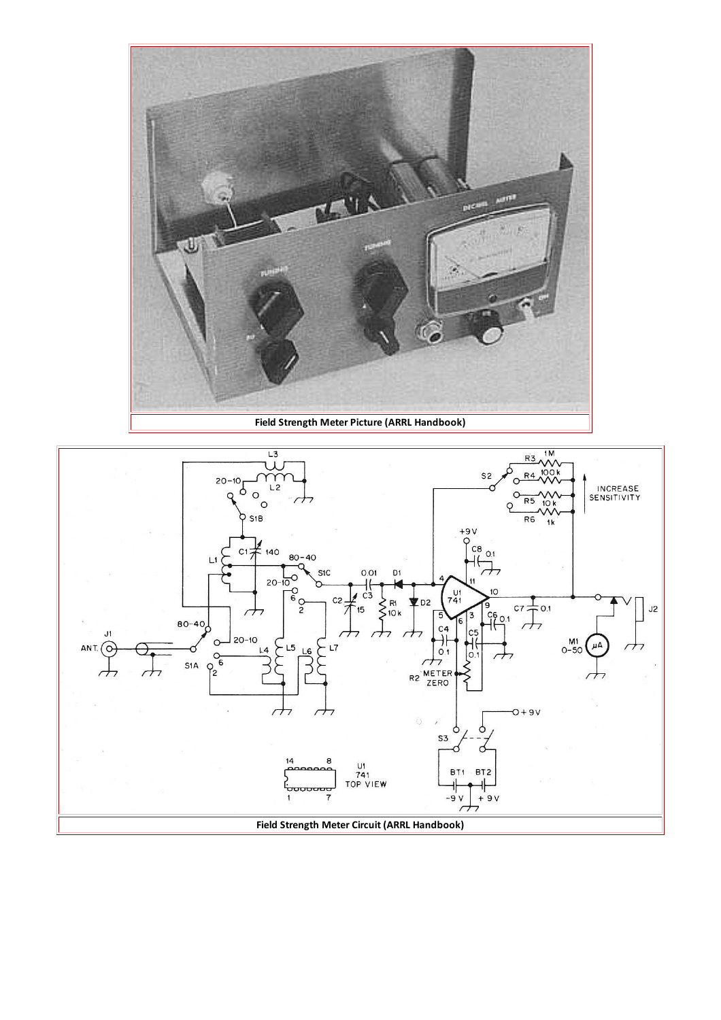

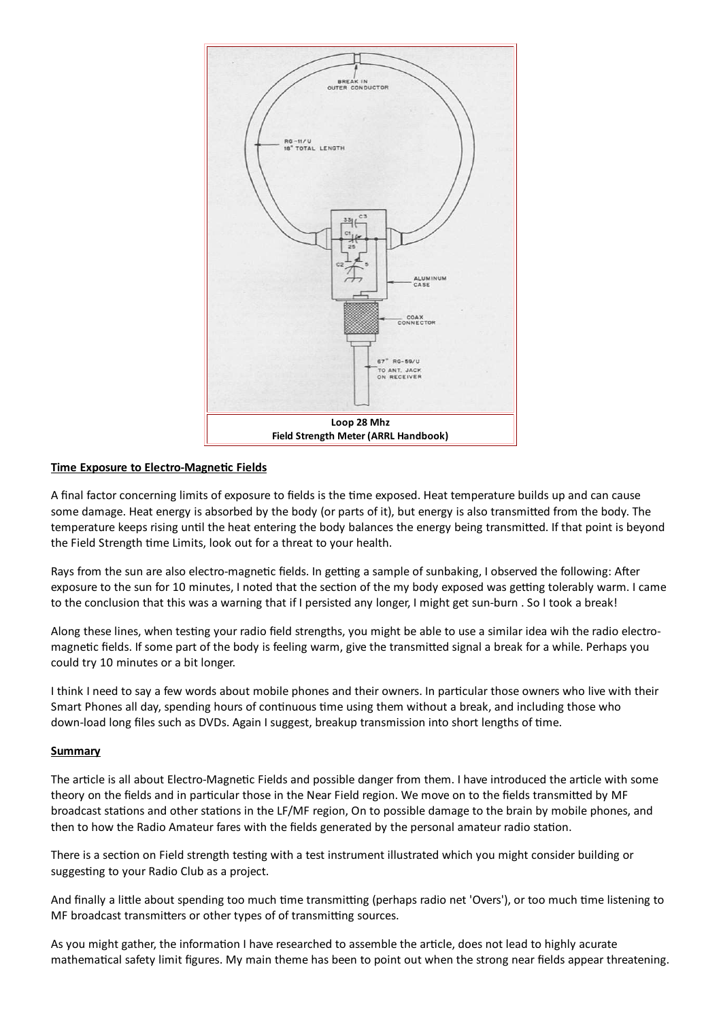

#### **Time Exposure to Electro-Magnetic Fields**

A final factor concerning limits of exposure to fields is the time exposed. Heat temperature builds up and can cause some damage. Heat energy is absorbed by the body (or parts of it), but energy is also transmitted from the body. The temperature keeps rising until the heat entering the body balances the energy being transmitted. If that point is beyond the Field Strength time Limits, look out for a threat to your health.

Rays from the sun are also electro-magnetic fields. In getting a sample of sunbaking, I observed the following: After exposure to the sun for 10 minutes, I noted that the section of the my body exposed was getting tolerably warm. I came to the conclusion that this was a warning that if I persisted any longer, I might get sun-burn . So I took a break!

Along these lines, when testing your radio field strengths, you might be able to use a similar idea wih the radio electromagnetic fields. If some part of the body is feeling warm, give the transmitted signal a break for a while. Perhaps you could try 10 minutes or a bit longer.

I think I need to say a few words about mobile phones and their owners. In particular those owners who live with their Smart Phones all day, spending hours of continuous time using them without a break, and including those who down-load long files such as DVDs. Again I suggest, breakup transmission into short lengths of time.

#### **Summary**

The article is all about Electro-Magnetic Fields and possible danger from them. I have introduced the article with some theory on the fields and in particular those in the Near Field region. We move on to the fields transmitted by MF broadcast stations and other stations in the LF/MF region, On to possible damage to the brain by mobile phones, and then to how the Radio Amateur fares with the fields generated by the personal amateur radio station.

There is a section on Field strength testing with a test instrument illustrated which you might consider building or suggesting to your Radio Club as a project.

And finally a little about spending too much time transmitting (perhaps radio net 'Overs'), or too much time listening to MF broadcast transmitters or other types of of transmitting sources.

As you might gather, the information I have researched to assemble the article, does not lead to highly acurate mathematical safety limit figures. My main theme has been to point out when the strong near fields appear threatening.